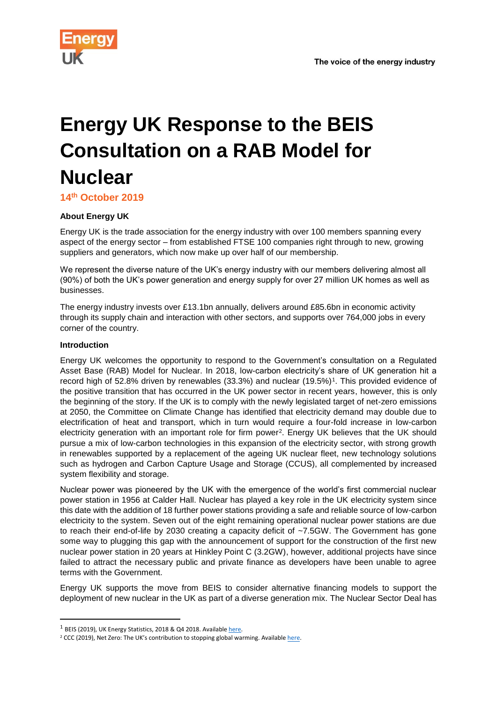

# **Energy UK Response to the BEIS Consultation on a RAB Model for Nuclear**

**14th October 2019**

## **About Energy UK**

Energy UK is the trade association for the energy industry with over 100 members spanning every aspect of the energy sector – from established FTSE 100 companies right through to new, growing suppliers and generators, which now make up over half of our membership.

We represent the diverse nature of the UK's energy industry with our members delivering almost all (90%) of both the UK's power generation and energy supply for over 27 million UK homes as well as businesses.

The energy industry invests over £13.1bn annually, delivers around £85.6bn in economic activity through its supply chain and interaction with other sectors, and supports over 764,000 jobs in every corner of the country.

#### **Introduction**

**.** 

Energy UK welcomes the opportunity to respond to the Government's consultation on a Regulated Asset Base (RAB) Model for Nuclear. In 2018, low-carbon electricity's share of UK generation hit a record high of 52.8% driven by renewables (33.3%) and nuclear (19.5%)<sup>1</sup>. This provided evidence of the positive transition that has occurred in the UK power sector in recent years, however, this is only the beginning of the story. If the UK is to comply with the newly legislated target of net-zero emissions at 2050, the Committee on Climate Change has identified that electricity demand may double due to electrification of heat and transport, which in turn would require a four-fold increase in low-carbon electricity generation with an important role for firm power<sup>2</sup> . Energy UK believes that the UK should pursue a mix of low-carbon technologies in this expansion of the electricity sector, with strong growth in renewables supported by a replacement of the ageing UK nuclear fleet, new technology solutions such as hydrogen and Carbon Capture Usage and Storage (CCUS), all complemented by increased system flexibility and storage.

Nuclear power was pioneered by the UK with the emergence of the world's first commercial nuclear power station in 1956 at Calder Hall. Nuclear has played a key role in the UK electricity system since this date with the addition of 18 further power stations providing a safe and reliable source of low-carbon electricity to the system. Seven out of the eight remaining operational nuclear power stations are due to reach their end-of-life by 2030 creating a capacity deficit of ~7.5GW. The Government has gone some way to plugging this gap with the announcement of support for the construction of the first new nuclear power station in 20 years at Hinkley Point C (3.2GW), however, additional projects have since failed to attract the necessary public and private finance as developers have been unable to agree terms with the Government.

Energy UK supports the move from BEIS to consider alternative financing models to support the deployment of new nuclear in the UK as part of a diverse generation mix. The Nuclear Sector Deal has

<sup>&</sup>lt;sup>1</sup> BEIS (2019), UK Energy Statistics, 2018 & Q4 2018. Availabl[e here.](https://assets.publishing.service.gov.uk/government/uploads/system/uploads/attachment_data/file/791297/Press_Notice_March_2019.pdf)

<sup>&</sup>lt;sup>2</sup> CCC (2019), Net Zero: The UK's contribution to stopping global warming. Availabl[e here.](file:///C:/Users/philip.mcnally/Downloads/Net-Zero-The-UKs-contribution-to-stopping-global-warming%20(4).pdf)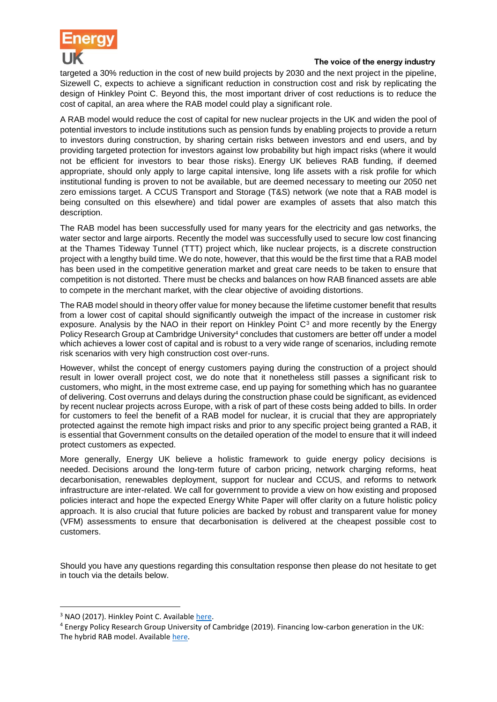

targeted a 30% reduction in the cost of new build projects by 2030 and the next project in the pipeline, Sizewell C, expects to achieve a significant reduction in construction cost and risk by replicating the design of Hinkley Point C. Beyond this, the most important driver of cost reductions is to reduce the cost of capital, an area where the RAB model could play a significant role.

A RAB model would reduce the cost of capital for new nuclear projects in the UK and widen the pool of potential investors to include institutions such as pension funds by enabling projects to provide a return to investors during construction, by sharing certain risks between investors and end users, and by providing targeted protection for investors against low probability but high impact risks (where it would not be efficient for investors to bear those risks). Energy UK believes RAB funding, if deemed appropriate, should only apply to large capital intensive, long life assets with a risk profile for which institutional funding is proven to not be available, but are deemed necessary to meeting our 2050 net zero emissions target. A CCUS Transport and Storage (T&S) network (we note that a RAB model is being consulted on this elsewhere) and tidal power are examples of assets that also match this description.

The RAB model has been successfully used for many years for the electricity and gas networks, the water sector and large airports. Recently the model was successfully used to secure low cost financing at the Thames Tideway Tunnel (TTT) project which, like nuclear projects, is a discrete construction project with a lengthy build time. We do note, however, that this would be the first time that a RAB model has been used in the competitive generation market and great care needs to be taken to ensure that competition is not distorted. There must be checks and balances on how RAB financed assets are able to compete in the merchant market, with the clear objective of avoiding distortions.

The RAB model should in theory offer value for money because the lifetime customer benefit that results from a lower cost of capital should significantly outweigh the impact of the increase in customer risk exposure. Analysis by the NAO in their report on Hinkley Point  $C<sup>3</sup>$  and more recently by the Energy Policy Research Group at Cambridge University<sup>4</sup> concludes that customers are better off under a model which achieves a lower cost of capital and is robust to a very wide range of scenarios, including remote risk scenarios with very high construction cost over-runs.

However, whilst the concept of energy customers paying during the construction of a project should result in lower overall project cost, we do note that it nonetheless still passes a significant risk to customers, who might, in the most extreme case, end up paying for something which has no guarantee of delivering. Cost overruns and delays during the construction phase could be significant, as evidenced by recent nuclear projects across Europe, with a risk of part of these costs being added to bills. In order for customers to feel the benefit of a RAB model for nuclear, it is crucial that they are appropriately protected against the remote high impact risks and prior to any specific project being granted a RAB, it is essential that Government consults on the detailed operation of the model to ensure that it will indeed protect customers as expected.

More generally, Energy UK believe a holistic framework to guide energy policy decisions is needed. Decisions around the long-term future of carbon pricing, network charging reforms, heat decarbonisation, renewables deployment, support for nuclear and CCUS, and reforms to network infrastructure are inter-related. We call for government to provide a view on how existing and proposed policies interact and hope the expected Energy White Paper will offer clarity on a future holistic policy approach. It is also crucial that future policies are backed by robust and transparent value for money (VFM) assessments to ensure that decarbonisation is delivered at the cheapest possible cost to customers.

Should you have any questions regarding this consultation response then please do not hesitate to get in touch via the details below.

**.** 

<sup>&</sup>lt;sup>3</sup> NAO (2017). Hinkley Point C. Available [here.](https://www.nao.org.uk/report/hinkley-point-c/)

<sup>4</sup> Energy Policy Research Group University of Cambridge (2019). Financing low-carbon generation in the UK: The hybrid RAB model. Availabl[e here.](https://www.eprg.group.cam.ac.uk/eprg-working-paper-1926/)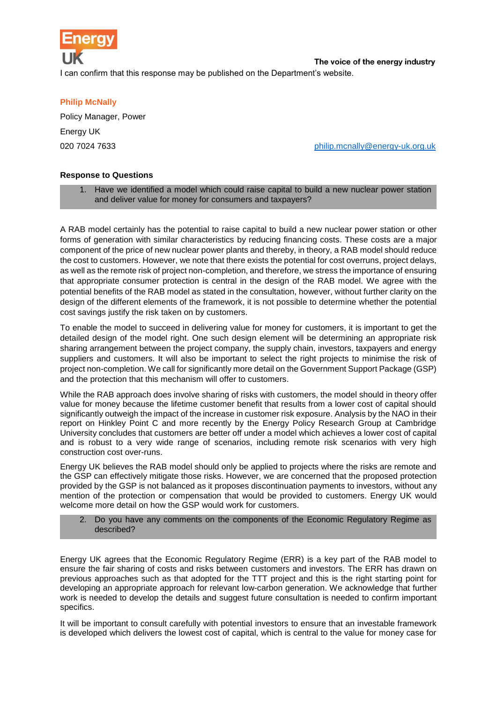

I can confirm that this response may be published on the Department's website.

#### **Philip McNally**

Policy Manager, Power Energy UK

020 7024 7633 **[philip.mcnally@energy-uk.org.uk](mailto:philip.mcnally@energy-uk.org.uk)** bottom bottom behilip.mcnally@energy-uk.org.uk

#### **Response to Questions**

1. Have we identified a model which could raise capital to build a new nuclear power station and deliver value for money for consumers and taxpayers?

A RAB model certainly has the potential to raise capital to build a new nuclear power station or other forms of generation with similar characteristics by reducing financing costs. These costs are a major component of the price of new nuclear power plants and thereby, in theory, a RAB model should reduce the cost to customers. However, we note that there exists the potential for cost overruns, project delays, as well as the remote risk of project non-completion, and therefore, we stress the importance of ensuring that appropriate consumer protection is central in the design of the RAB model. We agree with the potential benefits of the RAB model as stated in the consultation, however, without further clarity on the design of the different elements of the framework, it is not possible to determine whether the potential cost savings justify the risk taken on by customers.

To enable the model to succeed in delivering value for money for customers, it is important to get the detailed design of the model right. One such design element will be determining an appropriate risk sharing arrangement between the project company, the supply chain, investors, taxpayers and energy suppliers and customers. It will also be important to select the right projects to minimise the risk of project non-completion. We call for significantly more detail on the Government Support Package (GSP) and the protection that this mechanism will offer to customers.

While the RAB approach does involve sharing of risks with customers, the model should in theory offer value for money because the lifetime customer benefit that results from a lower cost of capital should significantly outweigh the impact of the increase in customer risk exposure. Analysis by the NAO in their report on Hinkley Point C and more recently by the Energy Policy Research Group at Cambridge University concludes that customers are better off under a model which achieves a lower cost of capital and is robust to a very wide range of scenarios, including remote risk scenarios with very high construction cost over-runs.

Energy UK believes the RAB model should only be applied to projects where the risks are remote and the GSP can effectively mitigate those risks. However, we are concerned that the proposed protection provided by the GSP is not balanced as it proposes discontinuation payments to investors, without any mention of the protection or compensation that would be provided to customers. Energy UK would welcome more detail on how the GSP would work for customers.

2. Do you have any comments on the components of the Economic Regulatory Regime as described?

Energy UK agrees that the Economic Regulatory Regime (ERR) is a key part of the RAB model to ensure the fair sharing of costs and risks between customers and investors. The ERR has drawn on previous approaches such as that adopted for the TTT project and this is the right starting point for developing an appropriate approach for relevant low-carbon generation. We acknowledge that further work is needed to develop the details and suggest future consultation is needed to confirm important specifics.

It will be important to consult carefully with potential investors to ensure that an investable framework is developed which delivers the lowest cost of capital, which is central to the value for money case for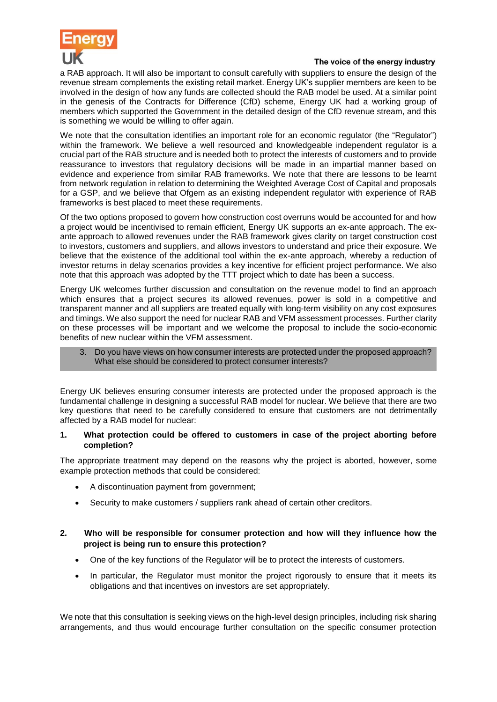

a RAB approach. It will also be important to consult carefully with suppliers to ensure the design of the revenue stream complements the existing retail market. Energy UK's supplier members are keen to be involved in the design of how any funds are collected should the RAB model be used. At a similar point in the genesis of the Contracts for Difference (CfD) scheme, Energy UK had a working group of members which supported the Government in the detailed design of the CfD revenue stream, and this is something we would be willing to offer again.

We note that the consultation identifies an important role for an economic regulator (the "Regulator") within the framework. We believe a well resourced and knowledgeable independent regulator is a crucial part of the RAB structure and is needed both to protect the interests of customers and to provide reassurance to investors that regulatory decisions will be made in an impartial manner based on evidence and experience from similar RAB frameworks. We note that there are lessons to be learnt from network regulation in relation to determining the Weighted Average Cost of Capital and proposals for a GSP, and we believe that Ofgem as an existing independent regulator with experience of RAB frameworks is best placed to meet these requirements.

Of the two options proposed to govern how construction cost overruns would be accounted for and how a project would be incentivised to remain efficient, Energy UK supports an ex-ante approach. The exante approach to allowed revenues under the RAB framework gives clarity on target construction cost to investors, customers and suppliers, and allows investors to understand and price their exposure. We believe that the existence of the additional tool within the ex-ante approach, whereby a reduction of investor returns in delay scenarios provides a key incentive for efficient project performance. We also note that this approach was adopted by the TTT project which to date has been a success.

Energy UK welcomes further discussion and consultation on the revenue model to find an approach which ensures that a project secures its allowed revenues, power is sold in a competitive and transparent manner and all suppliers are treated equally with long-term visibility on any cost exposures and timings. We also support the need for nuclear RAB and VFM assessment processes. Further clarity on these processes will be important and we welcome the proposal to include the socio-economic benefits of new nuclear within the VFM assessment.

3. Do you have views on how consumer interests are protected under the proposed approach? What else should be considered to protect consumer interests?

Energy UK believes ensuring consumer interests are protected under the proposed approach is the fundamental challenge in designing a successful RAB model for nuclear. We believe that there are two key questions that need to be carefully considered to ensure that customers are not detrimentally affected by a RAB model for nuclear:

#### **1. What protection could be offered to customers in case of the project aborting before completion?**

The appropriate treatment may depend on the reasons why the project is aborted, however, some example protection methods that could be considered:

- A discontinuation payment from government;
- Security to make customers / suppliers rank ahead of certain other creditors.

### **2. Who will be responsible for consumer protection and how will they influence how the project is being run to ensure this protection?**

- One of the key functions of the Regulator will be to protect the interests of customers.
- In particular, the Regulator must monitor the project rigorously to ensure that it meets its obligations and that incentives on investors are set appropriately.

We note that this consultation is seeking views on the high-level design principles, including risk sharing arrangements, and thus would encourage further consultation on the specific consumer protection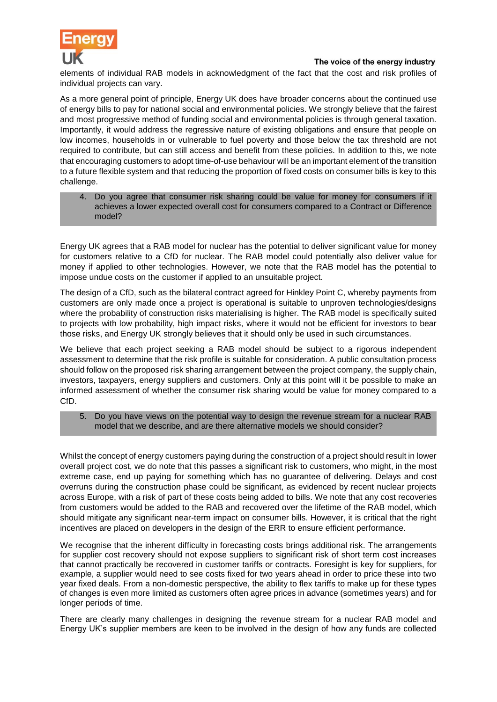

elements of individual RAB models in acknowledgment of the fact that the cost and risk profiles of individual projects can vary.

As a more general point of principle, Energy UK does have broader concerns about the continued use of energy bills to pay for national social and environmental policies. We strongly believe that the fairest and most progressive method of funding social and environmental policies is through general taxation. Importantly, it would address the regressive nature of existing obligations and ensure that people on low incomes, households in or vulnerable to fuel poverty and those below the tax threshold are not required to contribute, but can still access and benefit from these policies. In addition to this, we note that encouraging customers to adopt time-of-use behaviour will be an important element of the transition to a future flexible system and that reducing the proportion of fixed costs on consumer bills is key to this challenge.

4. Do you agree that consumer risk sharing could be value for money for consumers if it achieves a lower expected overall cost for consumers compared to a Contract or Difference model?

Energy UK agrees that a RAB model for nuclear has the potential to deliver significant value for money for customers relative to a CfD for nuclear. The RAB model could potentially also deliver value for money if applied to other technologies. However, we note that the RAB model has the potential to impose undue costs on the customer if applied to an unsuitable project.

The design of a CfD, such as the bilateral contract agreed for Hinkley Point C, whereby payments from customers are only made once a project is operational is suitable to unproven technologies/designs where the probability of construction risks materialising is higher. The RAB model is specifically suited to projects with low probability, high impact risks, where it would not be efficient for investors to bear those risks, and Energy UK strongly believes that it should only be used in such circumstances.

We believe that each project seeking a RAB model should be subject to a rigorous independent assessment to determine that the risk profile is suitable for consideration. A public consultation process should follow on the proposed risk sharing arrangement between the project company, the supply chain, investors, taxpayers, energy suppliers and customers. Only at this point will it be possible to make an informed assessment of whether the consumer risk sharing would be value for money compared to a CfD.

5. Do you have views on the potential way to design the revenue stream for a nuclear RAB model that we describe, and are there alternative models we should consider?

Whilst the concept of energy customers paying during the construction of a project should result in lower overall project cost, we do note that this passes a significant risk to customers, who might, in the most extreme case, end up paying for something which has no guarantee of delivering. Delays and cost overruns during the construction phase could be significant, as evidenced by recent nuclear projects across Europe, with a risk of part of these costs being added to bills. We note that any cost recoveries from customers would be added to the RAB and recovered over the lifetime of the RAB model, which should mitigate any significant near-term impact on consumer bills. However, it is critical that the right incentives are placed on developers in the design of the ERR to ensure efficient performance.

We recognise that the inherent difficulty in forecasting costs brings additional risk. The arrangements for supplier cost recovery should not expose suppliers to significant risk of short term cost increases that cannot practically be recovered in customer tariffs or contracts. Foresight is key for suppliers, for example, a supplier would need to see costs fixed for two years ahead in order to price these into two year fixed deals. From a non-domestic perspective, the ability to flex tariffs to make up for these types of changes is even more limited as customers often agree prices in advance (sometimes years) and for longer periods of time.

There are clearly many challenges in designing the revenue stream for a nuclear RAB model and Energy UK's supplier members are keen to be involved in the design of how any funds are collected